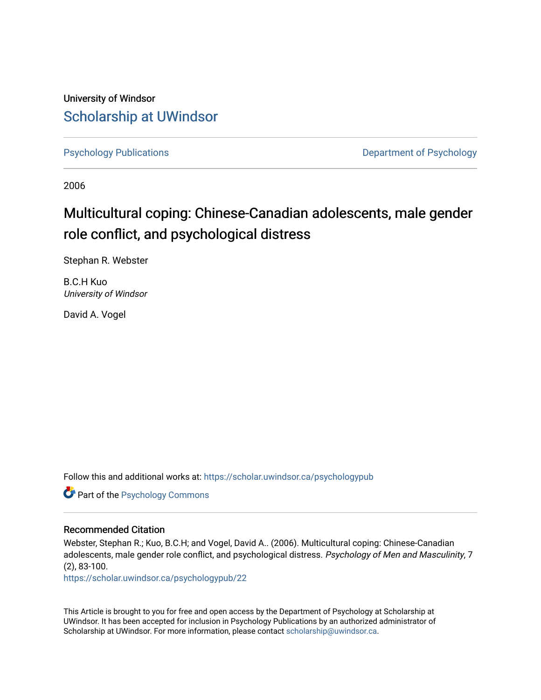University of Windsor [Scholarship at UWindsor](https://scholar.uwindsor.ca/) 

[Psychology Publications](https://scholar.uwindsor.ca/psychologypub) **Department of Psychology** 

2006

# Multicultural coping: Chinese-Canadian adolescents, male gender role conflict, and psychological distress

Stephan R. Webster

B.C.H Kuo University of Windsor

David A. Vogel

Follow this and additional works at: [https://scholar.uwindsor.ca/psychologypub](https://scholar.uwindsor.ca/psychologypub?utm_source=scholar.uwindsor.ca%2Fpsychologypub%2F22&utm_medium=PDF&utm_campaign=PDFCoverPages) 

Part of the [Psychology Commons](http://network.bepress.com/hgg/discipline/404?utm_source=scholar.uwindsor.ca%2Fpsychologypub%2F22&utm_medium=PDF&utm_campaign=PDFCoverPages) 

# Recommended Citation

Webster, Stephan R.; Kuo, B.C.H; and Vogel, David A.. (2006). Multicultural coping: Chinese-Canadian adolescents, male gender role conflict, and psychological distress. Psychology of Men and Masculinity, 7 (2), 83-100.

[https://scholar.uwindsor.ca/psychologypub/22](https://scholar.uwindsor.ca/psychologypub/22?utm_source=scholar.uwindsor.ca%2Fpsychologypub%2F22&utm_medium=PDF&utm_campaign=PDFCoverPages)

This Article is brought to you for free and open access by the Department of Psychology at Scholarship at UWindsor. It has been accepted for inclusion in Psychology Publications by an authorized administrator of Scholarship at UWindsor. For more information, please contact [scholarship@uwindsor.ca.](mailto:scholarship@uwindsor.ca)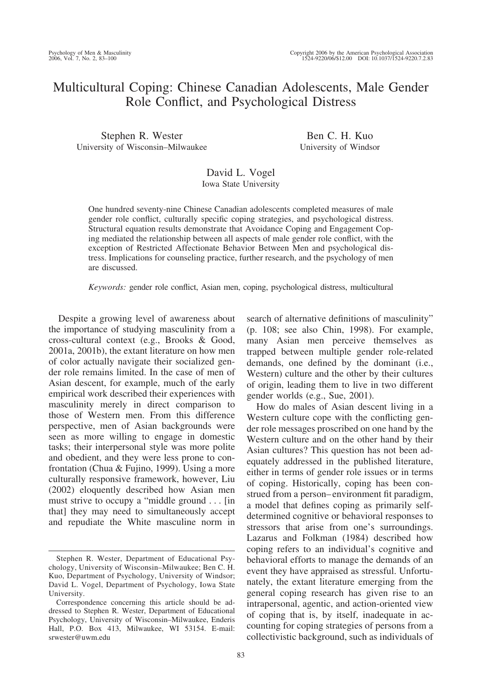# Multicultural Coping: Chinese Canadian Adolescents, Male Gender Role Conflict, and Psychological Distress

Stephen R. Wester University of Wisconsin–Milwaukee

Ben C. H. Kuo University of Windsor

# David L. Vogel Iowa State University

One hundred seventy-nine Chinese Canadian adolescents completed measures of male gender role conflict, culturally specific coping strategies, and psychological distress. Structural equation results demonstrate that Avoidance Coping and Engagement Coping mediated the relationship between all aspects of male gender role conflict, with the exception of Restricted Affectionate Behavior Between Men and psychological distress. Implications for counseling practice, further research, and the psychology of men are discussed.

*Keywords:* gender role conflict, Asian men, coping, psychological distress, multicultural

Despite a growing level of awareness about the importance of studying masculinity from a cross-cultural context (e.g., Brooks & Good, 2001a, 2001b), the extant literature on how men of color actually navigate their socialized gender role remains limited. In the case of men of Asian descent, for example, much of the early empirical work described their experiences with masculinity merely in direct comparison to those of Western men. From this difference perspective, men of Asian backgrounds were seen as more willing to engage in domestic tasks; their interpersonal style was more polite and obedient, and they were less prone to confrontation (Chua & Fujino, 1999). Using a more culturally responsive framework, however, Liu (2002) eloquently described how Asian men must strive to occupy a "middle ground . . . [in that] they may need to simultaneously accept and repudiate the White masculine norm in search of alternative definitions of masculinity" (p. 108; see also Chin, 1998). For example, many Asian men perceive themselves as trapped between multiple gender role-related demands, one defined by the dominant (i.e., Western) culture and the other by their cultures of origin, leading them to live in two different gender worlds (e.g., Sue, 2001).

How do males of Asian descent living in a Western culture cope with the conflicting gender role messages proscribed on one hand by the Western culture and on the other hand by their Asian cultures? This question has not been adequately addressed in the published literature, either in terms of gender role issues or in terms of coping. Historically, coping has been construed from a person– environment fit paradigm, a model that defines coping as primarily selfdetermined cognitive or behavioral responses to stressors that arise from one's surroundings. Lazarus and Folkman (1984) described how coping refers to an individual's cognitive and behavioral efforts to manage the demands of an event they have appraised as stressful. Unfortunately, the extant literature emerging from the general coping research has given rise to an intrapersonal, agentic, and action-oriented view of coping that is, by itself, inadequate in accounting for coping strategies of persons from a collectivistic background, such as individuals of

Stephen R. Wester, Department of Educational Psychology, University of Wisconsin–Milwaukee; Ben C. H. Kuo, Department of Psychology, University of Windsor; David L. Vogel, Department of Psychology, Iowa State University.

Correspondence concerning this article should be addressed to Stephen R. Wester, Department of Educational Psychology, University of Wisconsin–Milwaukee, Enderis Hall, P.O. Box 413, Milwaukee, WI 53154. E-mail: srwester@uwm.edu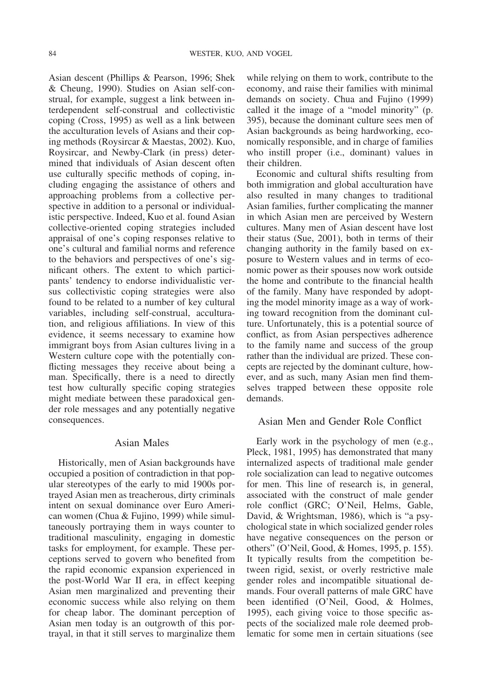Asian descent (Phillips & Pearson, 1996; Shek & Cheung, 1990). Studies on Asian self-construal, for example, suggest a link between interdependent self-construal and collectivistic coping (Cross, 1995) as well as a link between the acculturation levels of Asians and their coping methods (Roysircar & Maestas, 2002). Kuo, Roysircar, and Newby-Clark (in press) determined that individuals of Asian descent often use culturally specific methods of coping, including engaging the assistance of others and approaching problems from a collective perspective in addition to a personal or individualistic perspective. Indeed, Kuo et al. found Asian collective-oriented coping strategies included appraisal of one's coping responses relative to one's cultural and familial norms and reference to the behaviors and perspectives of one's significant others. The extent to which participants' tendency to endorse individualistic versus collectivistic coping strategies were also found to be related to a number of key cultural variables, including self-construal, acculturation, and religious affiliations. In view of this evidence, it seems necessary to examine how immigrant boys from Asian cultures living in a Western culture cope with the potentially conflicting messages they receive about being a man. Specifically, there is a need to directly test how culturally specific coping strategies might mediate between these paradoxical gender role messages and any potentially negative consequences.

# Asian Males

Historically, men of Asian backgrounds have occupied a position of contradiction in that popular stereotypes of the early to mid 1900s portrayed Asian men as treacherous, dirty criminals intent on sexual dominance over Euro American women (Chua & Fujino, 1999) while simultaneously portraying them in ways counter to traditional masculinity, engaging in domestic tasks for employment, for example. These perceptions served to govern who benefited from the rapid economic expansion experienced in the post-World War II era, in effect keeping Asian men marginalized and preventing their economic success while also relying on them for cheap labor. The dominant perception of Asian men today is an outgrowth of this portrayal, in that it still serves to marginalize them

while relying on them to work, contribute to the economy, and raise their families with minimal demands on society. Chua and Fujino (1999) called it the image of a "model minority" (p. 395), because the dominant culture sees men of Asian backgrounds as being hardworking, economically responsible, and in charge of families who instill proper (i.e., dominant) values in their children.

Economic and cultural shifts resulting from both immigration and global acculturation have also resulted in many changes to traditional Asian families, further complicating the manner in which Asian men are perceived by Western cultures. Many men of Asian descent have lost their status (Sue, 2001), both in terms of their changing authority in the family based on exposure to Western values and in terms of economic power as their spouses now work outside the home and contribute to the financial health of the family. Many have responded by adopting the model minority image as a way of working toward recognition from the dominant culture. Unfortunately, this is a potential source of conflict, as from Asian perspectives adherence to the family name and success of the group rather than the individual are prized. These concepts are rejected by the dominant culture, however, and as such, many Asian men find themselves trapped between these opposite role demands.

# Asian Men and Gender Role Conflict

Early work in the psychology of men (e.g., Pleck, 1981, 1995) has demonstrated that many internalized aspects of traditional male gender role socialization can lead to negative outcomes for men. This line of research is, in general, associated with the construct of male gender role conflict (GRC; O'Neil, Helms, Gable, David, & Wrightsman, 1986), which is "a psychological state in which socialized gender roles have negative consequences on the person or others" (O'Neil, Good, & Homes, 1995, p. 155). It typically results from the competition between rigid, sexist, or overly restrictive male gender roles and incompatible situational demands. Four overall patterns of male GRC have been identified (O'Neil, Good, & Holmes, 1995), each giving voice to those specific aspects of the socialized male role deemed problematic for some men in certain situations (see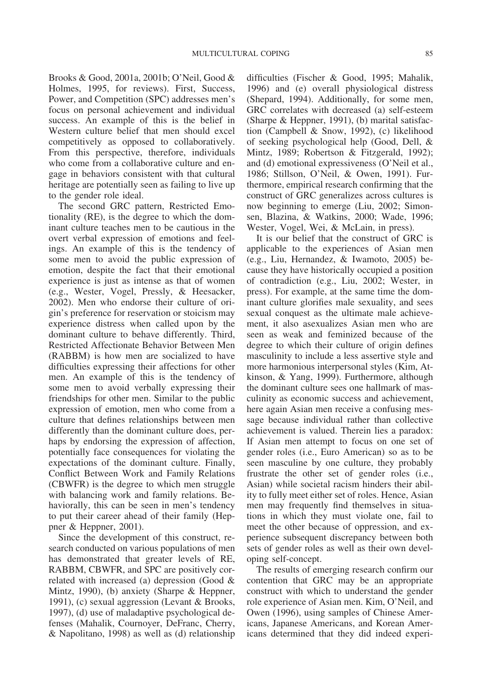Brooks & Good, 2001a, 2001b; O'Neil, Good & Holmes, 1995, for reviews). First, Success, Power, and Competition (SPC) addresses men's focus on personal achievement and individual success. An example of this is the belief in Western culture belief that men should excel competitively as opposed to collaboratively. From this perspective, therefore, individuals who come from a collaborative culture and engage in behaviors consistent with that cultural heritage are potentially seen as failing to live up to the gender role ideal.

The second GRC pattern, Restricted Emotionality (RE), is the degree to which the dominant culture teaches men to be cautious in the overt verbal expression of emotions and feelings. An example of this is the tendency of some men to avoid the public expression of emotion, despite the fact that their emotional experience is just as intense as that of women (e.g., Wester, Vogel, Pressly, & Heesacker, 2002). Men who endorse their culture of origin's preference for reservation or stoicism may experience distress when called upon by the dominant culture to behave differently. Third, Restricted Affectionate Behavior Between Men (RABBM) is how men are socialized to have difficulties expressing their affections for other men. An example of this is the tendency of some men to avoid verbally expressing their friendships for other men. Similar to the public expression of emotion, men who come from a culture that defines relationships between men differently than the dominant culture does, perhaps by endorsing the expression of affection, potentially face consequences for violating the expectations of the dominant culture. Finally, Conflict Between Work and Family Relations (CBWFR) is the degree to which men struggle with balancing work and family relations. Behaviorally, this can be seen in men's tendency to put their career ahead of their family (Heppner & Heppner, 2001).

Since the development of this construct, research conducted on various populations of men has demonstrated that greater levels of RE, RABBM, CBWFR, and SPC are positively correlated with increased (a) depression (Good & Mintz, 1990), (b) anxiety (Sharpe & Heppner, 1991), (c) sexual aggression (Levant & Brooks, 1997), (d) use of maladaptive psychological defenses (Mahalik, Cournoyer, DeFranc, Cherry, & Napolitano, 1998) as well as (d) relationship

difficulties (Fischer & Good, 1995; Mahalik, 1996) and (e) overall physiological distress (Shepard, 1994). Additionally, for some men, GRC correlates with decreased (a) self-esteem (Sharpe & Heppner, 1991), (b) marital satisfaction (Campbell & Snow, 1992), (c) likelihood of seeking psychological help (Good, Dell, & Mintz, 1989; Robertson & Fitzgerald, 1992); and (d) emotional expressiveness (O'Neil et al., 1986; Stillson, O'Neil, & Owen, 1991). Furthermore, empirical research confirming that the construct of GRC generalizes across cultures is now beginning to emerge (Liu, 2002; Simonsen, Blazina, & Watkins, 2000; Wade, 1996; Wester, Vogel, Wei, & McLain, in press).

It is our belief that the construct of GRC is applicable to the experiences of Asian men (e.g., Liu, Hernandez, & Iwamoto, 2005) because they have historically occupied a position of contradiction (e.g., Liu, 2002; Wester, in press). For example, at the same time the dominant culture glorifies male sexuality, and sees sexual conquest as the ultimate male achievement, it also asexualizes Asian men who are seen as weak and feminized because of the degree to which their culture of origin defines masculinity to include a less assertive style and more harmonious interpersonal styles (Kim, Atkinson, & Yang, 1999). Furthermore, although the dominant culture sees one hallmark of masculinity as economic success and achievement, here again Asian men receive a confusing message because individual rather than collective achievement is valued. Therein lies a paradox: If Asian men attempt to focus on one set of gender roles (i.e., Euro American) so as to be seen masculine by one culture, they probably frustrate the other set of gender roles (i.e., Asian) while societal racism hinders their ability to fully meet either set of roles. Hence, Asian men may frequently find themselves in situations in which they must violate one, fail to meet the other because of oppression, and experience subsequent discrepancy between both sets of gender roles as well as their own developing self-concept.

The results of emerging research confirm our contention that GRC may be an appropriate construct with which to understand the gender role experience of Asian men. Kim, O'Neil, and Owen (1996), using samples of Chinese Americans, Japanese Americans, and Korean Americans determined that they did indeed experi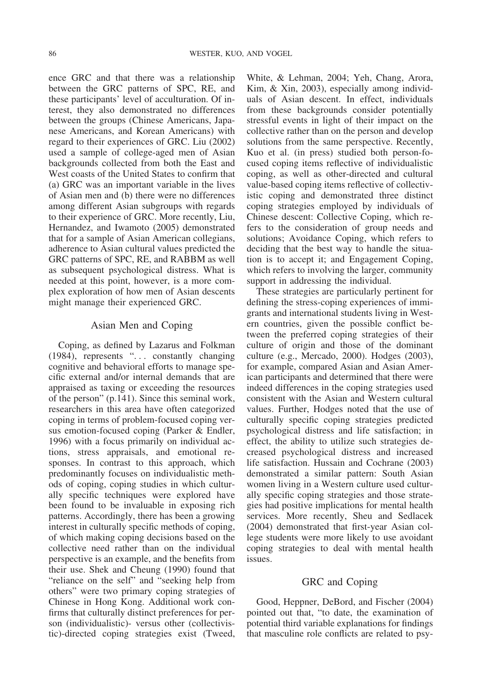ence GRC and that there was a relationship between the GRC patterns of SPC, RE, and these participants' level of acculturation. Of interest, they also demonstrated no differences between the groups (Chinese Americans, Japanese Americans, and Korean Americans) with regard to their experiences of GRC. Liu (2002) used a sample of college-aged men of Asian backgrounds collected from both the East and West coasts of the United States to confirm that (a) GRC was an important variable in the lives of Asian men and (b) there were no differences among different Asian subgroups with regards to their experience of GRC. More recently, Liu, Hernandez, and Iwamoto (2005) demonstrated that for a sample of Asian American collegians, adherence to Asian cultural values predicted the GRC patterns of SPC, RE, and RABBM as well as subsequent psychological distress. What is needed at this point, however, is a more complex exploration of how men of Asian descents might manage their experienced GRC.

# Asian Men and Coping

Coping, as defined by Lazarus and Folkman (1984), represents ". . . constantly changing cognitive and behavioral efforts to manage specific external and/or internal demands that are appraised as taxing or exceeding the resources of the person" (p.141). Since this seminal work, researchers in this area have often categorized coping in terms of problem-focused coping versus emotion-focused coping (Parker & Endler, 1996) with a focus primarily on individual actions, stress appraisals, and emotional responses. In contrast to this approach, which predominantly focuses on individualistic methods of coping, coping studies in which culturally specific techniques were explored have been found to be invaluable in exposing rich patterns. Accordingly, there has been a growing interest in culturally specific methods of coping, of which making coping decisions based on the collective need rather than on the individual perspective is an example, and the benefits from their use. Shek and Cheung (1990) found that "reliance on the self" and "seeking help from others" were two primary coping strategies of Chinese in Hong Kong. Additional work confirms that culturally distinct preferences for person (individualistic)- versus other (collectivistic)-directed coping strategies exist (Tweed,

White, & Lehman, 2004; Yeh, Chang, Arora, Kim, & Xin, 2003), especially among individuals of Asian descent. In effect, individuals from these backgrounds consider potentially stressful events in light of their impact on the collective rather than on the person and develop solutions from the same perspective. Recently, Kuo et al. (in press) studied both person-focused coping items reflective of individualistic coping, as well as other-directed and cultural value-based coping items reflective of collectivistic coping and demonstrated three distinct coping strategies employed by individuals of Chinese descent: Collective Coping, which refers to the consideration of group needs and solutions; Avoidance Coping, which refers to deciding that the best way to handle the situation is to accept it; and Engagement Coping, which refers to involving the larger, community support in addressing the individual.

These strategies are particularly pertinent for defining the stress-coping experiences of immigrants and international students living in Western countries, given the possible conflict between the preferred coping strategies of their culture of origin and those of the dominant culture (e.g., Mercado, 2000). Hodges (2003), for example, compared Asian and Asian American participants and determined that there were indeed differences in the coping strategies used consistent with the Asian and Western cultural values. Further, Hodges noted that the use of culturally specific coping strategies predicted psychological distress and life satisfaction; in effect, the ability to utilize such strategies decreased psychological distress and increased life satisfaction. Hussain and Cochrane (2003) demonstrated a similar pattern: South Asian women living in a Western culture used culturally specific coping strategies and those strategies had positive implications for mental health services. More recently, Sheu and Sedlacek (2004) demonstrated that first-year Asian college students were more likely to use avoidant coping strategies to deal with mental health issues.

#### GRC and Coping

Good, Heppner, DeBord, and Fischer (2004) pointed out that, "to date, the examination of potential third variable explanations for findings that masculine role conflicts are related to psy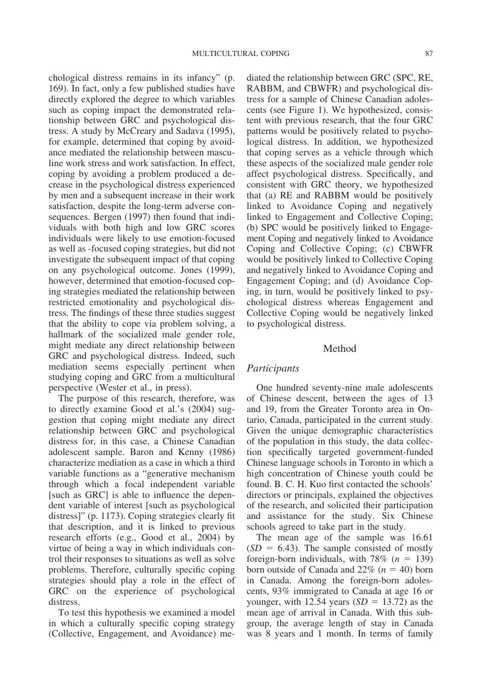chological distress remains in its infancy" (p. 169). In fact, only a few published studies have directly explored the degree to which variables such as coping impact the demonstrated relationship between GRC and psychological distress. A study by McCreary and Sadava (1995), for example, determined that coping by avoidance mediated the relationship between masculine work stress and work satisfaction. In effect, coping by avoiding a problem produced a decrease in the psychological distress experienced by men and a subsequent increase in their work satisfaction, despite the long-term adverse consequences. Bergen (1997) then found that individuals with both high and low GRC scores individuals were likely to use emotion-focused as well as -focused coping strategies, but did not investigate the subsequent impact of that coping on any psychological outcome. Jones (1999), however, determined that emotion-focused coping strategies mediated the relationship between restricted emotionality and psychological distress. The findings of these three studies suggest that the ability to cope via problem solving, a hallmark of the socialized male gender role, might mediate any direct relationship between GRC and psychological distress. Indeed, such mediation seems especially pertinent when studying coping and GRC from a multicultural perspective (Wester et al., in press).

The purpose of this research, therefore, was to directly examine Good et al.'s (2004) suggestion that coping might mediate any direct relationship between GRC and psychological distress for, in this case, a Chinese Canadian adolescent sample. Baron and Kenny (1986) characterize mediation as a case in which a third variable functions as a "generative mechanism through which a focal independent variable [such as GRC] is able to influence the dependent variable of interest [such as psychological distress]" (p. 1173). Coping strategies clearly fit that description, and it is linked to previous research efforts (e.g., Good et al., 2004) by virtue of being a way in which individuals control their responses to situations as well as solve problems. Therefore, culturally specific coping strategies should play a role in the effect of GRC on the experience of psychological distress.

To test this hypothesis we examined a model in which a culturally specific coping strategy (Collective, Engagement, and Avoidance) mediated the relationship between GRC (SPC, RE, RABBM, and CBWFR) and psychological distress for a sample of Chinese Canadian adolescents (see Figure 1). We hypothesized, consistent with previous research, that the four GRC patterns would be positively related to psychological distress. In addition, we hypothesized that coping serves as a vehicle through which these aspects of the socialized male gender role affect psychological distress. Specifically, and consistent with GRC theory, we hypothesized that (a) RE and RABBM would be positively linked to Avoidance Coping and negatively linked to Engagement and Collective Coping; (b) SPC would be positively linked to Engagement Coping and negatively linked to Avoidance Coping and Collective Coping; (c) CBWFR would be positively linked to Collective Coping and negatively linked to Avoidance Coping and Engagement Coping; and (d) Avoidance Coping, in turn, would be positively linked to psychological distress whereas Engagement and Collective Coping would be negatively linked to psychological distress.

#### Method

#### *Participants*

One hundred seventy-nine male adolescents of Chinese descent, between the ages of 13 and 19, from the Greater Toronto area in Ontario, Canada, participated in the current study. Given the unique demographic characteristics of the population in this study, the data collection specifically targeted government-funded Chinese language schools in Toronto in which a high concentration of Chinese youth could be found. B. C. H. Kuo first contacted the schools' directors or principals, explained the objectives of the research, and solicited their participation and assistance for the study. Six Chinese schools agreed to take part in the study.

The mean age of the sample was 16.61  $(SD = 6.43)$ . The sample consisted of mostly foreign-born individuals, with  $78\%$  ( $n = 139$ ) born outside of Canada and  $22\%$  ( $n = 40$ ) born in Canada. Among the foreign-born adolescents, 93% immigrated to Canada at age 16 or younger, with 12.54 years  $(SD = 13.72)$  as the mean age of arrival in Canada. With this subgroup, the average length of stay in Canada was 8 years and 1 month. In terms of family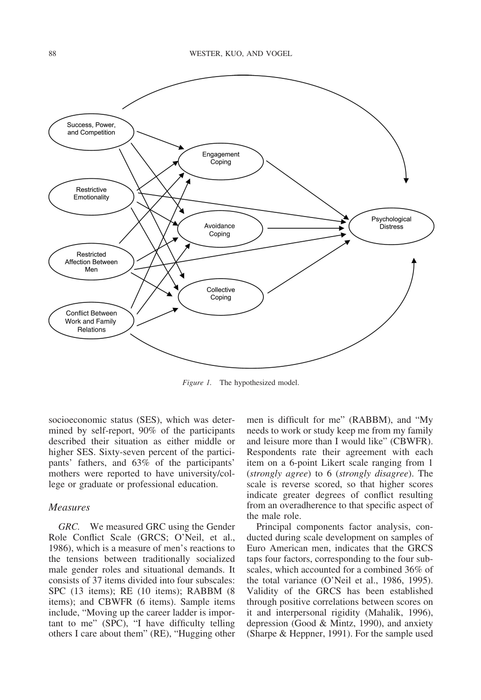

*Figure 1.* The hypothesized model.

socioeconomic status (SES), which was determined by self-report, 90% of the participants described their situation as either middle or higher SES. Sixty-seven percent of the participants' fathers, and 63% of the participants' mothers were reported to have university/college or graduate or professional education.

## *Measures*

*GRC.* We measured GRC using the Gender Role Conflict Scale (GRCS; O'Neil, et al., 1986), which is a measure of men's reactions to the tensions between traditionally socialized male gender roles and situational demands. It consists of 37 items divided into four subscales: SPC (13 items); RE (10 items); RABBM (8 items); and CBWFR (6 items). Sample items include, "Moving up the career ladder is important to me" (SPC), "I have difficulty telling others I care about them" (RE), "Hugging other men is difficult for me" (RABBM), and "My needs to work or study keep me from my family and leisure more than I would like" (CBWFR). Respondents rate their agreement with each item on a 6-point Likert scale ranging from 1 (*strongly agree*) to 6 (*strongly disagree*). The scale is reverse scored, so that higher scores indicate greater degrees of conflict resulting from an overadherence to that specific aspect of the male role.

Principal components factor analysis, conducted during scale development on samples of Euro American men, indicates that the GRCS taps four factors, corresponding to the four subscales, which accounted for a combined 36% of the total variance (O'Neil et al., 1986, 1995). Validity of the GRCS has been established through positive correlations between scores on it and interpersonal rigidity (Mahalik, 1996), depression (Good & Mintz, 1990), and anxiety (Sharpe & Heppner, 1991). For the sample used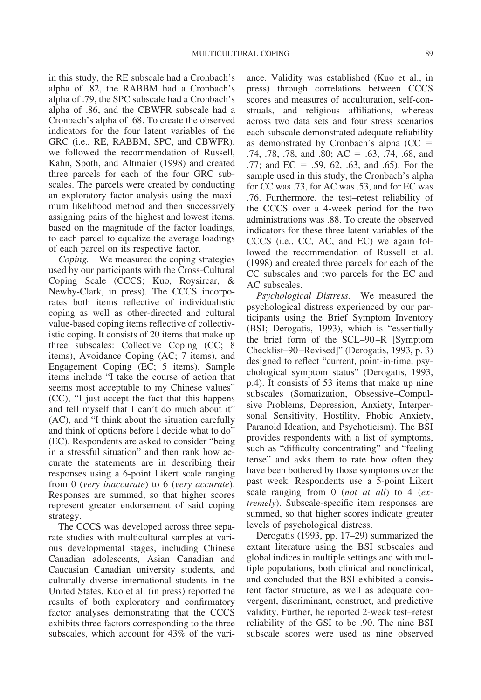in this study, the RE subscale had a Cronbach's alpha of .82, the RABBM had a Cronbach's alpha of .79, the SPC subscale had a Cronbach's alpha of .86, and the CBWFR subscale had a Cronbach's alpha of .68. To create the observed indicators for the four latent variables of the GRC (i.e., RE, RABBM, SPC, and CBWFR), we followed the recommendation of Russell, Kahn, Spoth, and Altmaier (1998) and created three parcels for each of the four GRC subscales. The parcels were created by conducting an exploratory factor analysis using the maximum likelihood method and then successively assigning pairs of the highest and lowest items, based on the magnitude of the factor loadings, to each parcel to equalize the average loadings of each parcel on its respective factor.

*Coping.* We measured the coping strategies used by our participants with the Cross-Cultural Coping Scale (CCCS; Kuo, Roysircar, & Newby-Clark, in press). The CCCS incorporates both items reflective of individualistic coping as well as other-directed and cultural value-based coping items reflective of collectivistic coping. It consists of 20 items that make up three subscales: Collective Coping (CC; 8 items), Avoidance Coping (AC; 7 items), and Engagement Coping (EC; 5 items). Sample items include "I take the course of action that seems most acceptable to my Chinese values" (CC), "I just accept the fact that this happens and tell myself that I can't do much about it" (AC), and "I think about the situation carefully and think of options before I decide what to do" (EC). Respondents are asked to consider "being in a stressful situation" and then rank how accurate the statements are in describing their responses using a 6-point Likert scale ranging from 0 (*very inaccurate*) to 6 (*very accurate*). Responses are summed, so that higher scores represent greater endorsement of said coping strategy.

The CCCS was developed across three separate studies with multicultural samples at various developmental stages, including Chinese Canadian adolescents, Asian Canadian and Caucasian Canadian university students, and culturally diverse international students in the United States. Kuo et al. (in press) reported the results of both exploratory and confirmatory factor analyses demonstrating that the CCCS exhibits three factors corresponding to the three subscales, which account for 43% of the variance. Validity was established (Kuo et al., in press) through correlations between CCCS scores and measures of acculturation, self-construals, and religious affiliations, whereas across two data sets and four stress scenarios each subscale demonstrated adequate reliability as demonstrated by Cronbach's alpha  $(CC =$ .74, .78, .78, and .80;  $AC = .63$ , .74, .68, and .77; and  $EC = .59, 62, .63, and .65$ . For the sample used in this study, the Cronbach's alpha for CC was .73, for AC was .53, and for EC was .76. Furthermore, the test–retest reliability of the CCCS over a 4-week period for the two administrations was .88. To create the observed indicators for these three latent variables of the CCCS (i.e., CC, AC, and EC) we again followed the recommendation of Russell et al. (1998) and created three parcels for each of the CC subscales and two parcels for the EC and AC subscales.

*Psychological Distress.* We measured the psychological distress experienced by our participants using the Brief Symptom Inventory (BSI; Derogatis, 1993), which is "essentially the brief form of the SCL–90 –R [Symptom Checklist–90 –Revised]" (Derogatis, 1993, p. 3) designed to reflect "current, point-in-time, psychological symptom status" (Derogatis, 1993, p.4). It consists of 53 items that make up nine subscales (Somatization, Obsessive–Compulsive Problems, Depression, Anxiety, Interpersonal Sensitivity, Hostility, Phobic Anxiety, Paranoid Ideation, and Psychoticism). The BSI provides respondents with a list of symptoms, such as "difficulty concentrating" and "feeling tense" and asks them to rate how often they have been bothered by those symptoms over the past week. Respondents use a 5-point Likert scale ranging from 0 (*not at all*) to 4 (*extremely*). Subscale-specific item responses are summed, so that higher scores indicate greater levels of psychological distress.

Derogatis (1993, pp. 17–29) summarized the extant literature using the BSI subscales and global indices in multiple settings and with multiple populations, both clinical and nonclinical, and concluded that the BSI exhibited a consistent factor structure, as well as adequate convergent, discriminant, construct, and predictive validity. Further, he reported 2-week test–retest reliability of the GSI to be .90. The nine BSI subscale scores were used as nine observed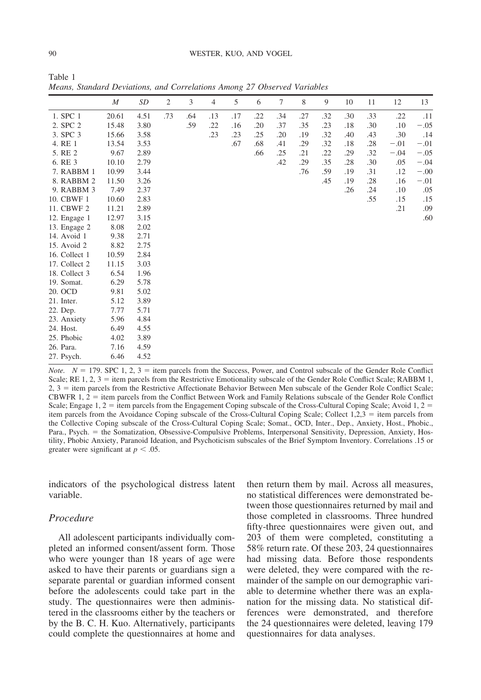Table 1

*M SD* 2 3 4 5 6 7 8 9 10 11 12 13 1. SPC 1 20.61 4.51 .73 .64 .13 .17 .22 .34 .27 .32 .30 .33 .22 .11 2. SPC 2 15.48 3.80 .59 .22 .16 .20 .37 .35 .23 .18 .30 .10 - $-.05$ 3. SPC 3 15.66 3.58 .23 .23 .25 .20 .19 .32 .40 .43 .30 .14 4. RE 1 13.54 3.53 .67 .68 .41 .29 .32 .18 .28 - $-.01$  $-.01$ 5. RE 2 9.67 2.89 .66 .25 .21 .22 .29 .32 - $-.04$  $-.05$ 6. RE 3 10.10 2.79 .42 .29 .35 .28 .30 .05 - $-.04$ 7. RABBM 1 10.99 3.44 .76 .76 .59 .19 .31 .12 - $-.00$ 8. RABBM 2 11.50 3.26 .45 .19 .28 .16 - $-.01$ 9. RABBM 3 7.49 2.37 .26 .24 .10 .05 10. CBWF 1 10.60 2.83 .55 .15 .15 11. CBWF 2 11.21 2.89 .21 .09 12. Engage 1 12.97 3.15 .60 13. Engage 2 8.08 2.02 14. Avoid 1 9.38 2.71 15. Avoid 2 8.82 2.75 16. Collect 1 10.59 2.84 17. Collect 2 11.15 3.03<br>18. Collect 3 6.54 1.96 18. Collect 3 6.54 1.96 19. Somat. 6.29 5.78 20. OCD 9.81 5.02 21. Inter. 5.12 3.89 22. Dep. 7.77 5.71 23. Anxiety 5.96 4.84 24. Host. 6.49 4.55 25. Phobic 4.02 3.89 26. Para. 7.16 4.59 27. Psych. 6.46 4.52

*Means, Standard Deviations, and Correlations Among 27 Observed Variables*

*Note.*  $N = 179$ . SPC 1, 2, 3 = item parcels from the Success, Power, and Control subscale of the Gender Role Conflict Scale; RE 1, 2, 3 = item parcels from the Restrictive Emotionality subscale of the Gender Role Conflict Scale; RABBM 1, 2, 3 = item parcels from the Restrictive Affectionate Behavior Between Men subscale of the Gender Role Conflict Scale; CBWFR  $1, 2$  = item parcels from the Conflict Between Work and Family Relations subscale of the Gender Role Conflict Scale; Engage  $1, 2$  = item parcels from the Engagement Coping subscale of the Cross-Cultural Coping Scale; Avoid  $1, 2$  = item parcels from the Avoidance Coping subscale of the Cross-Cultural Coping Scale; Collect  $1,2,3 =$  item parcels from the Collective Coping subscale of the Cross-Cultural Coping Scale; Somat., OCD, Inter., Dep., Anxiety, Host., Phobic., Para., Psych. = the Somatization, Obsessive-Compulsive Problems, Interpersonal Sensitivity, Depression, Anxiety, Hostility, Phobic Anxiety, Paranoid Ideation, and Psychoticism subscales of the Brief Symptom Inventory. Correlations .15 or greater were significant at  $p < .05$ .

indicators of the psychological distress latent variable.

# *Procedure*

All adolescent participants individually completed an informed consent/assent form. Those who were younger than 18 years of age were asked to have their parents or guardians sign a separate parental or guardian informed consent before the adolescents could take part in the study. The questionnaires were then administered in the classrooms either by the teachers or by the B. C. H. Kuo. Alternatively, participants could complete the questionnaires at home and

then return them by mail. Across all measures, no statistical differences were demonstrated between those questionnaires returned by mail and those completed in classrooms. Three hundred fifty-three questionnaires were given out, and 203 of them were completed, constituting a 58% return rate. Of these 203, 24 questionnaires had missing data. Before those respondents were deleted, they were compared with the remainder of the sample on our demographic variable to determine whether there was an explanation for the missing data. No statistical differences were demonstrated, and therefore the 24 questionnaires were deleted, leaving 179 questionnaires for data analyses.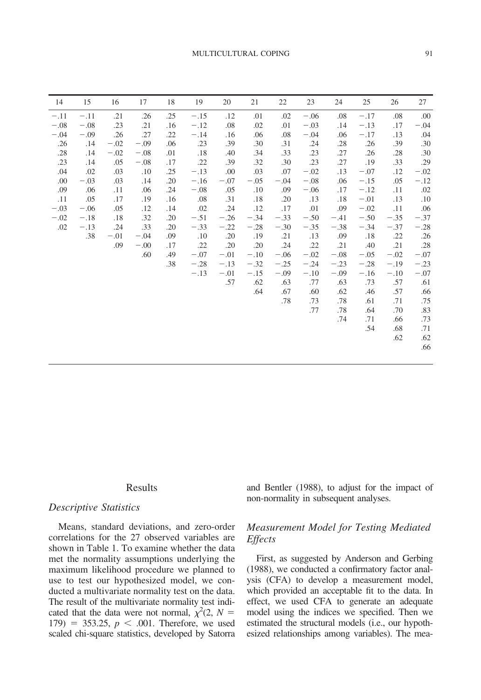| 15     | 16     | 17     | 18  | 19     | 20     | 21     | 22     | 23     | 24     | 25     | 26     | 27     |
|--------|--------|--------|-----|--------|--------|--------|--------|--------|--------|--------|--------|--------|
| $-.11$ | .21    | .26    | .25 | $-.15$ | .12    | .01    | .02    | $-.06$ | .08    | $-.17$ | .08    | .00    |
| $-.08$ | .23    | .21    | .16 | $-.12$ | .08    | .02    | .01    | $-.03$ | .14    | $-.13$ | .17    | $-.04$ |
| $-.09$ | .26    | .27    | .22 | $-.14$ | .16    | .06    | .08    | $-.04$ | .06    | $-.17$ | .13    | .04    |
| .14    | $-.02$ | $-.09$ | .06 | .23    | .39    | .30    | .31    | .24    | .28    | .26    | .39    | .30    |
| .14    | $-.02$ | $-.08$ | .01 | .18    | .40    | .34    | .33    | .23    | .27    | .26    | .28    | .30    |
| .14    | .05    | $-.08$ | .17 | .22    | .39    | .32    | .30    | .23    | .27    | .19    | .33    | .29    |
| .02    | .03    | .10    | .25 | $-.13$ | .00    | .03    | .07    | $-.02$ | .13    | $-.07$ | .12    | $-.02$ |
| $-.03$ | .03    | .14    | .20 | $-.16$ | $-.07$ | $-.05$ | $-.04$ | $-.08$ | .06    | $-.15$ | .05    | $-.12$ |
| .06    | .11    | .06    | .24 | $-.08$ | .05    | .10    | .09    | $-.06$ | .17    | $-.12$ | .11    | .02    |
| .05    | .17    | .19    | .16 | .08    | .31    | .18    | .20    | .13    | .18    | $-.01$ | .13    | .10    |
| $-.06$ | .05    | .12    | .14 | .02    | .24    | .12    | .17    | .01    | .09    | $-.02$ | .11    | .06    |
| $-.18$ | .18    | .32    | .20 | $-.51$ | $-.26$ | $-.34$ | $-.33$ | $-.50$ | $-.41$ | $-.50$ | $-.35$ | $-.37$ |
| $-.13$ | .24    | .33    | .20 | $-.33$ | $-.22$ | $-.28$ | $-.30$ | $-.35$ | $-.38$ | $-.34$ | $-.37$ | $-.28$ |
| .38    | $-.01$ | $-.04$ | .09 | .10    | .20    | .19    | .21    | .13    | .09    | .18    | .22    | .26    |
|        | .09    | $-.00$ | .17 | .22    | .20    | .20    | .24    |        | .21    | .40    |        | .28    |
|        |        | .60    | .49 | $-.07$ | $-.01$ | $-.10$ | $-.06$ | $-.02$ | $-.08$ | $-.05$ | $-.02$ | $-.07$ |
|        |        |        | .38 | $-.28$ | $-.13$ | $-.32$ | $-.25$ | $-.24$ | $-.23$ | $-.28$ | $-.19$ | $-.23$ |
|        |        |        |     | $-.13$ | $-.01$ | $-.15$ | $-.09$ | $-.10$ | $-.09$ | $-.16$ | $-.10$ | $-.07$ |
|        |        |        |     |        | .57    | .62    | .63    | .77    | .63    | .73    | .57    | .61    |
|        |        |        |     |        |        | .64    | .67    | .60    | .62    | .46    | .57    | .66    |
|        |        |        |     |        |        |        | .78    | .73    | .78    | .61    | .71    | .75    |
|        |        |        |     |        |        |        |        | .77    | .78    | .64    | .70    | .83    |
|        |        |        |     |        |        |        |        |        | .74    | .71    | .66    | .73    |
|        |        |        |     |        |        |        |        |        |        | .54    | .68    | .71    |
|        |        |        |     |        |        |        |        |        |        |        | .62    | .62    |
|        |        |        |     |        |        |        |        |        |        |        |        | .66    |
|        |        |        |     |        |        |        |        |        |        |        |        |        |
|        |        |        |     |        |        |        |        |        | .22    |        |        | .21    |

#### Results

# *Descriptive Statistics*

Means, standard deviations, and zero-order correlations for the 27 observed variables are shown in Table 1. To examine whether the data met the normality assumptions underlying the maximum likelihood procedure we planned to use to test our hypothesized model, we conducted a multivariate normality test on the data. The result of the multivariate normality test indicated that the data were not normal,  $\chi^2(2, N =$  $179$ ) = 353.25,  $p < .001$ . Therefore, we used scaled chi-square statistics, developed by Satorra and Bentler (1988), to adjust for the impact of non-normality in subsequent analyses.

# *Measurement Model for Testing Mediated Effects*

First, as suggested by Anderson and Gerbing (1988), we conducted a confirmatory factor analysis (CFA) to develop a measurement model, which provided an acceptable fit to the data. In effect, we used CFA to generate an adequate model using the indices we specified. Then we estimated the structural models (i.e., our hypothesized relationships among variables). The mea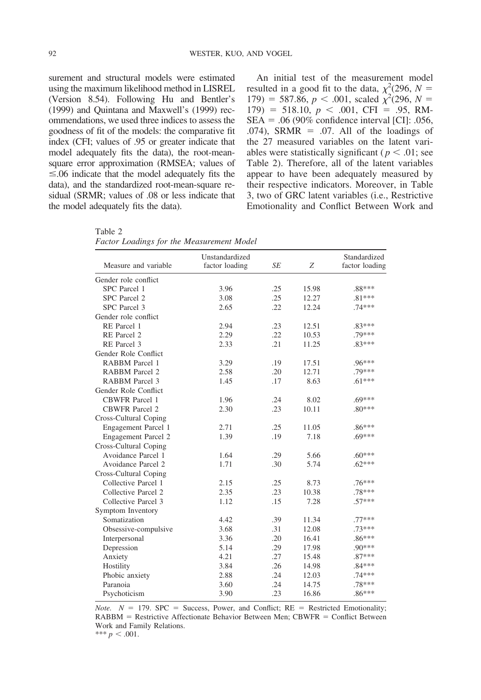surement and structural models were estimated using the maximum likelihood method in LISREL (Version 8.54). Following Hu and Bentler's (1999) and Quintana and Maxwell's (1999) recommendations, we used three indices to assess the goodness of fit of the models: the comparative fit index (CFI; values of .95 or greater indicate that model adequately fits the data), the root-meansquare error approximation (RMSEA; values of  $\leq$ .06 indicate that the model adequately fits the data), and the standardized root-mean-square residual (SRMR; values of .08 or less indicate that the model adequately fits the data).

An initial test of the measurement model resulted in a good fit to the data,  $\chi^2$ (296, *N* =  $179$ ) = 587.86, *p* < .001, scaled  $\chi^2$ (296, *N* =  $179$ ) = 518.10,  $p < .001$ , CFI = .95, RM- $SEA = .06 (90\% confidence interval [CI]: .056,$ .074), SRMR = .07. All of the loadings of the 27 measured variables on the latent variables were statistically significant ( $p < .01$ ; see Table 2). Therefore, all of the latent variables appear to have been adequately measured by their respective indicators. Moreover, in Table 3, two of GRC latent variables (i.e., Restrictive Emotionality and Conflict Between Work and

Table 2 *Factor Loadings for the Measurement Model*

|                       | Unstandardized |           |       | Standardized   |
|-----------------------|----------------|-----------|-------|----------------|
| Measure and variable  | factor loading | <b>SE</b> | Ζ     | factor loading |
| Gender role conflict  |                |           |       |                |
| SPC Parcel 1          | 3.96           | .25       | 15.98 | .88***         |
| SPC Parcel 2          | 3.08           | .25       | 12.27 | $.81***$       |
| SPC Parcel 3          | 2.65           | .22       | 12.24 | $.74***$       |
| Gender role conflict  |                |           |       |                |
| RE Parcel 1           | 2.94           | .23       | 12.51 | .83***         |
| RE Parcel 2           | 2.29           | .22       | 10.53 | .79***         |
| RE Parcel 3           | 2.33           | .21       | 11.25 | $.83***$       |
| Gender Role Conflict  |                |           |       |                |
| <b>RABBM</b> Parcel 1 | 3.29           | .19       | 17.51 | $.96***$       |
| <b>RABBM</b> Parcel 2 | 2.58           | .20       | 12.71 | .79***         |
| <b>RABBM</b> Parcel 3 | 1.45           | .17       | 8.63  | $.61***$       |
| Gender Role Conflict  |                |           |       |                |
| <b>CBWFR</b> Parcel 1 | 1.96           | .24       | 8.02  | $.69***$       |
| <b>CBWFR</b> Parcel 2 | 2.30           | .23       | 10.11 | $.80***$       |
| Cross-Cultural Coping |                |           |       |                |
| Engagement Parcel 1   | 2.71           | .25       | 11.05 | $.86***$       |
| Engagement Parcel 2   | 1.39           | .19       | 7.18  | $.69***$       |
| Cross-Cultural Coping |                |           |       |                |
| Avoidance Parcel 1    | 1.64           | .29       | 5.66  | $.60***$       |
| Avoidance Parcel 2    | 1.71           | .30       | 5.74  | $.62***$       |
| Cross-Cultural Coping |                |           |       |                |
| Collective Parcel 1   | 2.15           | .25       | 8.73  | .76***         |
| Collective Parcel 2   | 2.35           | .23       | 10.38 | .78***         |
| Collective Parcel 3   | 1.12           | .15       | 7.28  | $.57***$       |
| Symptom Inventory     |                |           |       |                |
| Somatization          | 4.42           | .39       | 11.34 | .77***         |
| Obsessive-compulsive  | 3.68           | .31       | 12.08 | .73***         |
| Interpersonal         | 3.36           | .20       | 16.41 | $.86***$       |
| Depression            | 5.14           | .29       | 17.98 | .90***         |
| Anxiety               | 4.21           | .27       | 15.48 | $.87***$       |
| Hostility             | 3.84           | .26       | 14.98 | $.84***$       |
| Phobic anxiety        | 2.88           | .24       | 12.03 | $.74***$       |
| Paranoia              | 3.60           | .24       | 14.75 | .78***         |
| Psychoticism          | 3.90           | .23       | 16.86 | $.86***$       |

*Note.*  $N = 179$ . SPC = Success, Power, and Conflict; RE = Restricted Emotionality;  $RABBM =$  Restrictive Affectionate Behavior Between Men; CBWFR = Conflict Between Work and Family Relations.

\*\*\*  $p < .001$ .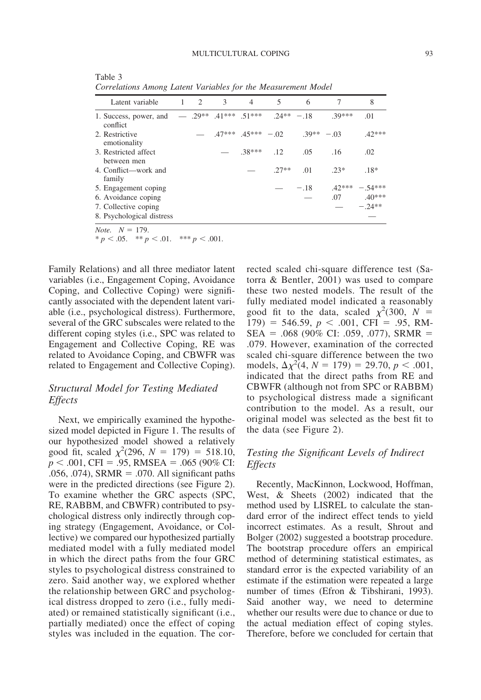| Latent variable                                                              | 1 2 | $\overline{\phantom{a}}$ | $\overline{4}$ | $\overline{5}$                     | 6      | $\tau$   | 8                   |
|------------------------------------------------------------------------------|-----|--------------------------|----------------|------------------------------------|--------|----------|---------------------|
| 1. Success, power, and $-$ .29** .41*** .51*** .24** -.18 .39***<br>conflict |     |                          |                |                                    |        |          | .01                 |
| 2. Restrictive<br>emotionality                                               |     |                          |                | $-$ 47*** 45*** $-$ 02 39** $-$ 03 |        |          | $.42***$            |
| 3. Restricted affect<br>between men                                          |     |                          | $-38***$ 12    |                                    | .05    | .16      | .02                 |
| 4. Conflict—work and<br>family                                               |     |                          |                | $27**$                             | .01    | $.23*$   | $.18*$              |
| 5. Engagement coping                                                         |     |                          |                |                                    | $-.18$ | $.42***$ | $-.54***$           |
| 6. Avoidance coping                                                          |     |                          |                |                                    |        |          | $.07 \qquad .40***$ |
| 7. Collective coping                                                         |     |                          |                |                                    |        |          | $-24**$             |
| 8. Psychological distress                                                    |     |                          |                |                                    |        |          |                     |
| $Note \quad N = 179$                                                         |     |                          |                |                                    |        |          |                     |

Table 3 *Correlations Among Latent Variables for the Measurement Model*

*Note.*  $N = 179$ .  $* p < .05.$  \*\*  $p < .01.$  \*\*\*  $p < .001.$ 

Family Relations) and all three mediator latent variables (i.e., Engagement Coping, Avoidance Coping, and Collective Coping) were significantly associated with the dependent latent variable (i.e., psychological distress). Furthermore, several of the GRC subscales were related to the different coping styles (i.e., SPC was related to Engagement and Collective Coping, RE was related to Avoidance Coping, and CBWFR was related to Engagement and Collective Coping).

# *Structural Model for Testing Mediated Effects*

Next, we empirically examined the hypothesized model depicted in Figure 1. The results of our hypothesized model showed a relatively good fit, scaled  $\chi^2(296, N = 179) = 518.10$ ,  $p < .001$ , CFI = .95, RMSEA = .065 (90% CI: .056, .074), SRMR = .070. All significant paths were in the predicted directions (see Figure 2). To examine whether the GRC aspects (SPC, RE, RABBM, and CBWFR) contributed to psychological distress only indirectly through coping strategy (Engagement, Avoidance, or Collective) we compared our hypothesized partially mediated model with a fully mediated model in which the direct paths from the four GRC styles to psychological distress constrained to zero. Said another way, we explored whether the relationship between GRC and psychological distress dropped to zero (i.e., fully mediated) or remained statistically significant (i.e., partially mediated) once the effect of coping styles was included in the equation. The corrected scaled chi-square difference test (Satorra & Bentler, 2001) was used to compare these two nested models. The result of the fully mediated model indicated a reasonably good fit to the data, scaled  $\chi^2(300, N =$  $179$ ) = 546.59,  $p < .001$ , CFI = .95, RM- $SEA = .068 (90\% CI: .059, .077)$ , SRMR = .079. However, examination of the corrected scaled chi-square difference between the two models,  $\Delta \chi^2(4, N = 179) = 29.70, p < .001,$ indicated that the direct paths from RE and CBWFR (although not from SPC or RABBM) to psychological distress made a significant contribution to the model. As a result, our original model was selected as the best fit to the data (see Figure 2).

# *Testing the Significant Levels of Indirect Effects*

Recently, MacKinnon, Lockwood, Hoffman, West, & Sheets (2002) indicated that the method used by LISREL to calculate the standard error of the indirect effect tends to yield incorrect estimates. As a result, Shrout and Bolger (2002) suggested a bootstrap procedure. The bootstrap procedure offers an empirical method of determining statistical estimates, as standard error is the expected variability of an estimate if the estimation were repeated a large number of times (Efron & Tibshirani, 1993). Said another way, we need to determine whether our results were due to chance or due to the actual mediation effect of coping styles. Therefore, before we concluded for certain that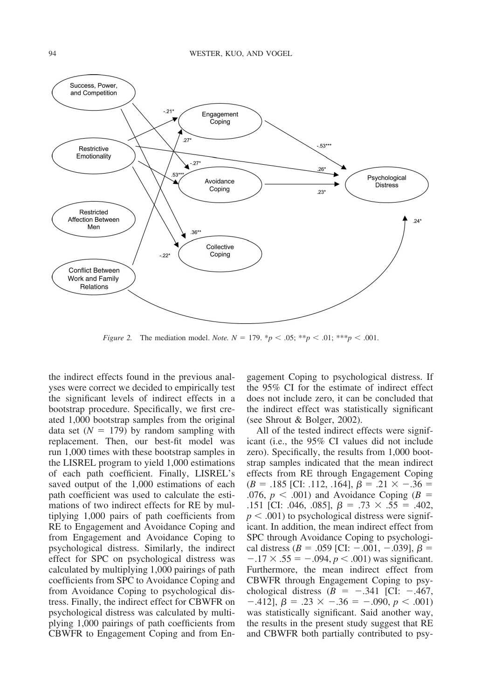

*Figure 2.* The mediation model. *Note.*  $N = 179$ .  ${}^{*}p < .05$ ;  ${}^{*}p < .01$ ;  ${}^{*}{}^{*}p < .001$ .

the indirect effects found in the previous analyses were correct we decided to empirically test the significant levels of indirect effects in a bootstrap procedure. Specifically, we first created 1,000 bootstrap samples from the original data set  $(N = 179)$  by random sampling with replacement. Then, our best-fit model was run 1,000 times with these bootstrap samples in the LISREL program to yield 1,000 estimations of each path coefficient. Finally, LISREL's saved output of the 1,000 estimations of each path coefficient was used to calculate the estimations of two indirect effects for RE by multiplying 1,000 pairs of path coefficients from RE to Engagement and Avoidance Coping and from Engagement and Avoidance Coping to psychological distress. Similarly, the indirect effect for SPC on psychological distress was calculated by multiplying 1,000 pairings of path coefficients from SPC to Avoidance Coping and from Avoidance Coping to psychological distress. Finally, the indirect effect for CBWFR on psychological distress was calculated by multiplying 1,000 pairings of path coefficients from CBWFR to Engagement Coping and from Engagement Coping to psychological distress. If the 95% CI for the estimate of indirect effect does not include zero, it can be concluded that the indirect effect was statistically significant (see Shrout & Bolger, 2002).

All of the tested indirect effects were significant (i.e., the 95% CI values did not include zero). Specifically, the results from 1,000 bootstrap samples indicated that the mean indirect effects from RE through Engagement Coping  $(B = .185$  [CI: .112, .164],  $\beta = .21 \times -0.36 =$ .076,  $p < .001$ ) and Avoidance Coping ( $B =$ .151 [CI: .046, .085],  $\beta = .73 \times .55 = .402$ ,  $p < .001$ ) to psychological distress were significant. In addition, the mean indirect effect from SPC through Avoidance Coping to psychological distress ( $B = .059$  [CI:  $-.001, -.039$ ],  $\beta =$  $-.17 \times .55 = -.094, p < .001$ ) was significant. Furthermore, the mean indirect effect from CBWFR through Engagement Coping to psychological distress  $(B = -.341$  [CI:  $-.467$ ,  $-.412$ ],  $\beta = .23 \times -.36 = -.090, p < .001$ was statistically significant. Said another way, the results in the present study suggest that RE and CBWFR both partially contributed to psy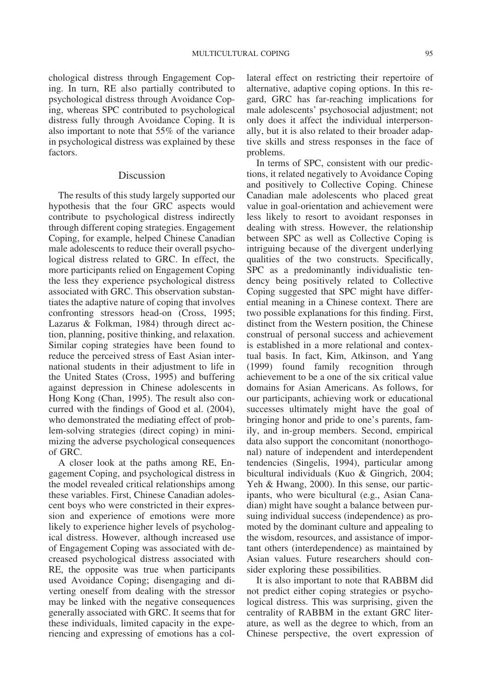chological distress through Engagement Coping. In turn, RE also partially contributed to psychological distress through Avoidance Coping, whereas SPC contributed to psychological distress fully through Avoidance Coping. It is also important to note that 55% of the variance in psychological distress was explained by these factors.

#### Discussion

The results of this study largely supported our hypothesis that the four GRC aspects would contribute to psychological distress indirectly through different coping strategies. Engagement Coping, for example, helped Chinese Canadian male adolescents to reduce their overall psychological distress related to GRC. In effect, the more participants relied on Engagement Coping the less they experience psychological distress associated with GRC. This observation substantiates the adaptive nature of coping that involves confronting stressors head-on (Cross, 1995; Lazarus & Folkman, 1984) through direct action, planning, positive thinking, and relaxation. Similar coping strategies have been found to reduce the perceived stress of East Asian international students in their adjustment to life in the United States (Cross, 1995) and buffering against depression in Chinese adolescents in Hong Kong (Chan, 1995). The result also concurred with the findings of Good et al. (2004), who demonstrated the mediating effect of problem-solving strategies (direct coping) in minimizing the adverse psychological consequences of GRC.

A closer look at the paths among RE, Engagement Coping, and psychological distress in the model revealed critical relationships among these variables. First, Chinese Canadian adolescent boys who were constricted in their expression and experience of emotions were more likely to experience higher levels of psychological distress. However, although increased use of Engagement Coping was associated with decreased psychological distress associated with RE, the opposite was true when participants used Avoidance Coping; disengaging and diverting oneself from dealing with the stressor may be linked with the negative consequences generally associated with GRC. It seems that for these individuals, limited capacity in the experiencing and expressing of emotions has a collateral effect on restricting their repertoire of alternative, adaptive coping options. In this regard, GRC has far-reaching implications for male adolescents' psychosocial adjustment; not only does it affect the individual interpersonally, but it is also related to their broader adaptive skills and stress responses in the face of problems.

In terms of SPC, consistent with our predictions, it related negatively to Avoidance Coping and positively to Collective Coping. Chinese Canadian male adolescents who placed great value in goal-orientation and achievement were less likely to resort to avoidant responses in dealing with stress. However, the relationship between SPC as well as Collective Coping is intriguing because of the divergent underlying qualities of the two constructs. Specifically, SPC as a predominantly individualistic tendency being positively related to Collective Coping suggested that SPC might have differential meaning in a Chinese context. There are two possible explanations for this finding. First, distinct from the Western position, the Chinese construal of personal success and achievement is established in a more relational and contextual basis. In fact, Kim, Atkinson, and Yang (1999) found family recognition through achievement to be a one of the six critical value domains for Asian Americans. As follows, for our participants, achieving work or educational successes ultimately might have the goal of bringing honor and pride to one's parents, family, and in-group members. Second, empirical data also support the concomitant (nonorthogonal) nature of independent and interdependent tendencies (Singelis, 1994), particular among bicultural individuals (Kuo & Gingrich, 2004; Yeh & Hwang, 2000). In this sense, our participants, who were bicultural (e.g., Asian Canadian) might have sought a balance between pursuing individual success (independence) as promoted by the dominant culture and appealing to the wisdom, resources, and assistance of important others (interdependence) as maintained by Asian values. Future researchers should consider exploring these possibilities.

It is also important to note that RABBM did not predict either coping strategies or psychological distress. This was surprising, given the centrality of RABBM in the extant GRC literature, as well as the degree to which, from an Chinese perspective, the overt expression of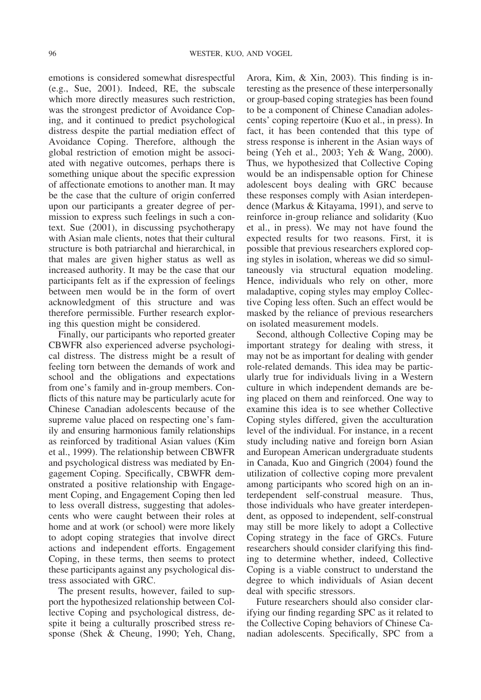emotions is considered somewhat disrespectful (e.g., Sue, 2001). Indeed, RE, the subscale which more directly measures such restriction, was the strongest predictor of Avoidance Coping, and it continued to predict psychological distress despite the partial mediation effect of Avoidance Coping. Therefore, although the global restriction of emotion might be associated with negative outcomes, perhaps there is something unique about the specific expression of affectionate emotions to another man. It may be the case that the culture of origin conferred upon our participants a greater degree of permission to express such feelings in such a context. Sue (2001), in discussing psychotherapy with Asian male clients, notes that their cultural structure is both patriarchal and hierarchical, in that males are given higher status as well as increased authority. It may be the case that our participants felt as if the expression of feelings between men would be in the form of overt acknowledgment of this structure and was therefore permissible. Further research exploring this question might be considered.

Finally, our participants who reported greater CBWFR also experienced adverse psychological distress. The distress might be a result of feeling torn between the demands of work and school and the obligations and expectations from one's family and in-group members. Conflicts of this nature may be particularly acute for Chinese Canadian adolescents because of the supreme value placed on respecting one's family and ensuring harmonious family relationships as reinforced by traditional Asian values (Kim et al., 1999). The relationship between CBWFR and psychological distress was mediated by Engagement Coping. Specifically, CBWFR demonstrated a positive relationship with Engagement Coping, and Engagement Coping then led to less overall distress, suggesting that adolescents who were caught between their roles at home and at work (or school) were more likely to adopt coping strategies that involve direct actions and independent efforts. Engagement Coping, in these terms, then seems to protect these participants against any psychological distress associated with GRC.

The present results, however, failed to support the hypothesized relationship between Collective Coping and psychological distress, despite it being a culturally proscribed stress response (Shek & Cheung, 1990; Yeh, Chang, Arora, Kim, & Xin, 2003). This finding is interesting as the presence of these interpersonally or group-based coping strategies has been found to be a component of Chinese Canadian adolescents' coping repertoire (Kuo et al., in press). In fact, it has been contended that this type of stress response is inherent in the Asian ways of being (Yeh et al., 2003; Yeh & Wang, 2000). Thus, we hypothesized that Collective Coping would be an indispensable option for Chinese adolescent boys dealing with GRC because these responses comply with Asian interdependence (Markus & Kitayama, 1991), and serve to reinforce in-group reliance and solidarity (Kuo et al., in press). We may not have found the expected results for two reasons. First, it is possible that previous researchers explored coping styles in isolation, whereas we did so simultaneously via structural equation modeling. Hence, individuals who rely on other, more maladaptive, coping styles may employ Collective Coping less often. Such an effect would be masked by the reliance of previous researchers on isolated measurement models.

Second, although Collective Coping may be important strategy for dealing with stress, it may not be as important for dealing with gender role-related demands. This idea may be particularly true for individuals living in a Western culture in which independent demands are being placed on them and reinforced. One way to examine this idea is to see whether Collective Coping styles differed, given the acculturation level of the individual. For instance, in a recent study including native and foreign born Asian and European American undergraduate students in Canada, Kuo and Gingrich (2004) found the utilization of collective coping more prevalent among participants who scored high on an interdependent self-construal measure. Thus, those individuals who have greater interdependent, as opposed to independent, self-construal may still be more likely to adopt a Collective Coping strategy in the face of GRCs. Future researchers should consider clarifying this finding to determine whether, indeed, Collective Coping is a viable construct to understand the degree to which individuals of Asian decent deal with specific stressors.

Future researchers should also consider clarifying our finding regarding SPC as it related to the Collective Coping behaviors of Chinese Canadian adolescents. Specifically, SPC from a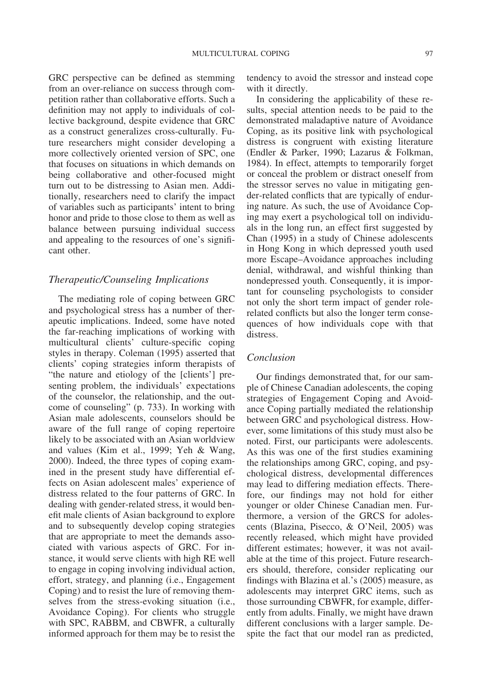GRC perspective can be defined as stemming from an over-reliance on success through competition rather than collaborative efforts. Such a definition may not apply to individuals of collective background, despite evidence that GRC as a construct generalizes cross-culturally. Future researchers might consider developing a more collectively oriented version of SPC, one that focuses on situations in which demands on being collaborative and other-focused might turn out to be distressing to Asian men. Additionally, researchers need to clarify the impact of variables such as participants' intent to bring honor and pride to those close to them as well as balance between pursuing individual success and appealing to the resources of one's significant other.

#### *Therapeutic/Counseling Implications*

The mediating role of coping between GRC and psychological stress has a number of therapeutic implications. Indeed, some have noted the far-reaching implications of working with multicultural clients' culture-specific coping styles in therapy. Coleman (1995) asserted that clients' coping strategies inform therapists of "the nature and etiology of the [clients'] presenting problem, the individuals' expectations of the counselor, the relationship, and the outcome of counseling" (p. 733). In working with Asian male adolescents, counselors should be aware of the full range of coping repertoire likely to be associated with an Asian worldview and values (Kim et al., 1999; Yeh & Wang, 2000). Indeed, the three types of coping examined in the present study have differential effects on Asian adolescent males' experience of distress related to the four patterns of GRC. In dealing with gender-related stress, it would benefit male clients of Asian background to explore and to subsequently develop coping strategies that are appropriate to meet the demands associated with various aspects of GRC. For instance, it would serve clients with high RE well to engage in coping involving individual action, effort, strategy, and planning (i.e., Engagement Coping) and to resist the lure of removing themselves from the stress-evoking situation (i.e., Avoidance Coping). For clients who struggle with SPC, RABBM, and CBWFR, a culturally informed approach for them may be to resist the

tendency to avoid the stressor and instead cope with it directly.

In considering the applicability of these results, special attention needs to be paid to the demonstrated maladaptive nature of Avoidance Coping, as its positive link with psychological distress is congruent with existing literature (Endler & Parker, 1990; Lazarus & Folkman, 1984). In effect, attempts to temporarily forget or conceal the problem or distract oneself from the stressor serves no value in mitigating gender-related conflicts that are typically of enduring nature. As such, the use of Avoidance Coping may exert a psychological toll on individuals in the long run, an effect first suggested by Chan (1995) in a study of Chinese adolescents in Hong Kong in which depressed youth used more Escape–Avoidance approaches including denial, withdrawal, and wishful thinking than nondepressed youth. Consequently, it is important for counseling psychologists to consider not only the short term impact of gender rolerelated conflicts but also the longer term consequences of how individuals cope with that distress.

#### *Conclusion*

Our findings demonstrated that, for our sample of Chinese Canadian adolescents, the coping strategies of Engagement Coping and Avoidance Coping partially mediated the relationship between GRC and psychological distress. However, some limitations of this study must also be noted. First, our participants were adolescents. As this was one of the first studies examining the relationships among GRC, coping, and psychological distress, developmental differences may lead to differing mediation effects. Therefore, our findings may not hold for either younger or older Chinese Canadian men. Furthermore, a version of the GRCS for adolescents (Blazina, Pisecco, & O'Neil, 2005) was recently released, which might have provided different estimates; however, it was not available at the time of this project. Future researchers should, therefore, consider replicating our findings with Blazina et al.'s (2005) measure, as adolescents may interpret GRC items, such as those surrounding CBWFR, for example, differently from adults. Finally, we might have drawn different conclusions with a larger sample. Despite the fact that our model ran as predicted,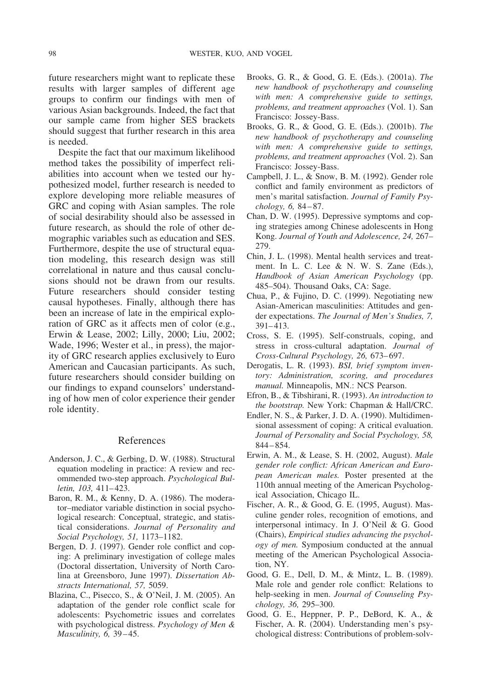future researchers might want to replicate these results with larger samples of different age groups to confirm our findings with men of various Asian backgrounds. Indeed, the fact that our sample came from higher SES brackets should suggest that further research in this area is needed.

Despite the fact that our maximum likelihood method takes the possibility of imperfect reliabilities into account when we tested our hypothesized model, further research is needed to explore developing more reliable measures of GRC and coping with Asian samples. The role of social desirability should also be assessed in future research, as should the role of other demographic variables such as education and SES. Furthermore, despite the use of structural equation modeling, this research design was still correlational in nature and thus causal conclusions should not be drawn from our results. Future researchers should consider testing causal hypotheses. Finally, although there has been an increase of late in the empirical exploration of GRC as it affects men of color (e.g., Erwin & Lease, 2002; Lilly, 2000; Liu, 2002; Wade, 1996; Wester et al., in press), the majority of GRC research applies exclusively to Euro American and Caucasian participants. As such, future researchers should consider building on our findings to expand counselors' understanding of how men of color experience their gender role identity.

#### References

- Anderson, J. C., & Gerbing, D. W. (1988). Structural equation modeling in practice: A review and recommended two-step approach. *Psychological Bulletin, 103,* 411– 423.
- Baron, R. M., & Kenny, D. A. (1986). The moderator–mediator variable distinction in social psychological research: Conceptual, strategic, and statistical considerations. *Journal of Personality and Social Psychology, 51,* 1173–1182.
- Bergen, D. J. (1997). Gender role conflict and coping: A preliminary investigation of college males (Doctoral dissertation, University of North Carolina at Greensboro, June 1997). *Dissertation Abstracts International, 57,* 5059.
- Blazina, C., Pisecco, S., & O'Neil, J. M. (2005). An adaptation of the gender role conflict scale for adolescents: Psychometric issues and correlates with psychological distress. *Psychology of Men & Masculinity, 6,* 39 – 45.
- Brooks, G. R., & Good, G. E. (Eds.). (2001a). *The new handbook of psychotherapy and counseling with men: A comprehensive guide to settings, problems, and treatment approaches* (Vol. 1). San Francisco: Jossey-Bass.
- Brooks, G. R., & Good, G. E. (Eds.). (2001b). *The new handbook of psychotherapy and counseling with men: A comprehensive guide to settings, problems, and treatment approaches* (Vol. 2). San Francisco: Jossey-Bass.
- Campbell, J. L., & Snow, B. M. (1992). Gender role conflict and family environment as predictors of men's marital satisfaction. *Journal of Family Psychology, 6,* 84 – 87.
- Chan, D. W. (1995). Depressive symptoms and coping strategies among Chinese adolescents in Hong Kong. *Journal of Youth and Adolescence, 24,* 267– 279.
- Chin, J. L. (1998). Mental health services and treatment. In L. C. Lee & N. W. S. Zane (Eds.), *Handbook of Asian American Psychology* (pp. 485–504). Thousand Oaks, CA: Sage.
- Chua, P., & Fujino, D. C. (1999). Negotiating new Asian-American masculinities: Attitudes and gender expectations. *The Journal of Men's Studies, 7,* 391– 413.
- Cross, S. E. (1995). Self-construals, coping, and stress in cross-cultural adaptation. *Journal of Cross-Cultural Psychology, 26,* 673– 697.
- Derogatis, L. R. (1993). *BSI, brief symptom inventory: Administration, scoring, and procedures manual.* Minneapolis, MN.: NCS Pearson.
- Efron, B., & Tibshirani, R. (1993). *An introduction to the bootstrap.* New York: Chapman & Hall/CRC.
- Endler, N. S., & Parker, J. D. A. (1990). Multidimensional assessment of coping: A critical evaluation. *Journal of Personality and Social Psychology, 58,* 844 – 854.
- Erwin, A. M., & Lease, S. H. (2002, August). *Male gender role conflict: African American and European American males.* Poster presented at the 110th annual meeting of the American Psychological Association, Chicago IL.
- Fischer, A. R., & Good, G. E. (1995, August). Masculine gender roles, recognition of emotions, and interpersonal intimacy. In J. O'Neil & G. Good (Chairs), *Empirical studies advancing the psychology of men.* Symposium conducted at the annual meeting of the American Psychological Association, NY.
- Good, G. E., Dell, D. M., & Mintz, L. B. (1989). Male role and gender role conflict: Relations to help-seeking in men. *Journal of Counseling Psychology, 36,* 295–300.
- Good, G. E., Heppner, P. P., DeBord, K. A., & Fischer, A. R. (2004). Understanding men's psychological distress: Contributions of problem-solv-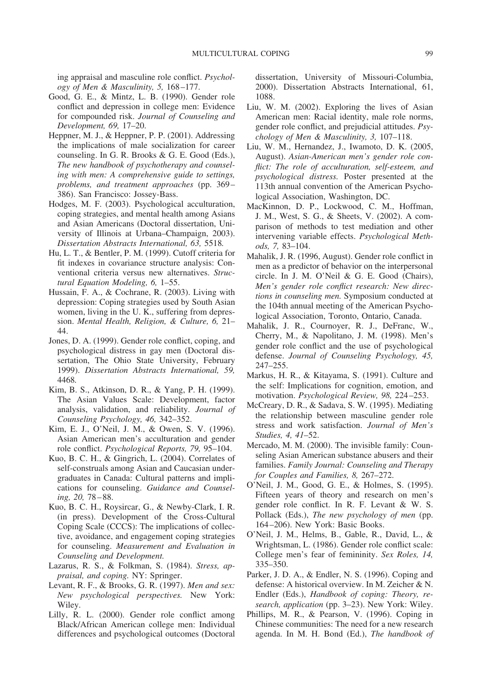ing appraisal and masculine role conflict. *Psychology of Men & Masculinity, 5,* 168 –177.

- Good, G. E., & Mintz, L. B. (1990). Gender role conflict and depression in college men: Evidence for compounded risk. *Journal of Counseling and Development, 69,* 17–20.
- Heppner, M. J., & Heppner, P. P. (2001). Addressing the implications of male socialization for career counseling. In G. R. Brooks & G. E. Good (Eds.), *The new handbook of psychotherapy and counseling with men: A comprehensive guide to settings, problems, and treatment approaches* (pp. 369 – 386). San Francisco: Jossey-Bass.
- Hodges, M. F. (2003). Psychological acculturation, coping strategies, and mental health among Asians and Asian Americans (Doctoral dissertation, University of Illinois at Urbana–Champaign, 2003). *Dissertation Abstracts International, 63,* 5518*.*
- Hu, L. T., & Bentler, P. M. (1999). Cutoff criteria for fit indexes in covariance structure analysis: Conventional criteria versus new alternatives. *Structural Equation Modeling, 6,* 1–55.
- Hussain, F. A., & Cochrane, R. (2003). Living with depression: Coping strategies used by South Asian women, living in the U. K., suffering from depression. *Mental Health, Religion, & Culture, 6,* 21– 44.
- Jones, D. A. (1999). Gender role conflict, coping, and psychological distress in gay men (Doctoral dissertation, The Ohio State University, February 1999). *Dissertation Abstracts International, 59,* 4468*.*
- Kim, B. S., Atkinson, D. R., & Yang, P. H. (1999). The Asian Values Scale: Development, factor analysis, validation, and reliability. *Journal of Counseling Psychology, 46,* 342–352.
- Kim, E. J., O'Neil, J. M., & Owen, S. V. (1996). Asian American men's acculturation and gender role conflict. *Psychological Reports, 79,* 95–104.
- Kuo, B. C. H., & Gingrich, L. (2004). Correlates of self-construals among Asian and Caucasian undergraduates in Canada: Cultural patterns and implications for counseling. *Guidance and Counseling, 20,* 78 – 88.
- Kuo, B. C. H., Roysircar, G., & Newby-Clark, I. R. (in press). Development of the Cross-Cultural Coping Scale (CCCS): The implications of collective, avoidance, and engagement coping strategies for counseling. *Measurement and Evaluation in Counseling and Development.*
- Lazarus, R. S., & Folkman, S. (1984). *Stress, appraisal, and coping.* NY: Springer.
- Levant, R. F., & Brooks, G. R. (1997). *Men and sex: New psychological perspectives.* New York: Wiley.
- Lilly, R. L. (2000). Gender role conflict among Black/African American college men: Individual differences and psychological outcomes (Doctoral

dissertation, University of Missouri-Columbia, 2000). Dissertation Abstracts International, 61, 1088.

- Liu, W. M. (2002). Exploring the lives of Asian American men: Racial identity, male role norms, gender role conflict, and prejudicial attitudes. *Psychology of Men & Masculinity, 3,* 107–118.
- Liu, W. M., Hernandez, J., Iwamoto, D. K. (2005, August). *Asian-American men's gender role conflict: The role of acculturation, self-esteem, and psychological distress.* Poster presented at the 113th annual convention of the American Psychological Association, Washington, DC.
- MacKinnon, D. P., Lockwood, C. M., Hoffman, J. M., West, S. G., & Sheets, V. (2002). A comparison of methods to test mediation and other intervening variable effects. *Psychological Methods, 7,* 83–104.
- Mahalik, J. R. (1996, August). Gender role conflict in men as a predictor of behavior on the interpersonal circle. In J. M. O'Neil & G. E. Good (Chairs), *Men's gender role conflict research: New directions in counseling men.* Symposium conducted at the 104th annual meeting of the American Psychological Association, Toronto, Ontario, Canada.
- Mahalik, J. R., Cournoyer, R. J., DeFranc, W., Cherry, M., & Napolitano, J. M. (1998). Men's gender role conflict and the use of psychological defense. *Journal of Counseling Psychology, 45,* 247–255.
- Markus, H. R., & Kitayama, S. (1991). Culture and the self: Implications for cognition, emotion, and motivation. *Psychological Review, 98,* 224 –253.
- McCreary, D. R., & Sadava, S. W. (1995). Mediating the relationship between masculine gender role stress and work satisfaction. *Journal of Men's Studies, 4, 41*–52.
- Mercado, M. M. (2000). The invisible family: Counseling Asian American substance abusers and their families. *Family Journal: Counseling and Therapy for Couples and Families, 8,* 267–272.
- O'Neil, J. M., Good, G. E., & Holmes, S. (1995). Fifteen years of theory and research on men's gender role conflict. In R. F. Levant & W. S. Pollack (Eds.), *The new psychology of men* (pp. 164 –206). New York: Basic Books.
- O'Neil, J. M., Helms, B., Gable, R., David, L., & Wrightsman, L. (1986). Gender role conflict scale: College men's fear of femininity. *Sex Roles, 14,* 335–350.
- Parker, J. D. A., & Endler, N. S. (1996). Coping and defense: A historical overview. In M. Zeicher & N. Endler (Eds.), *Handbook of coping: Theory, research, application* (pp. 3–23). New York: Wiley.
- Phillips, M. R., & Pearson, V. (1996). Coping in Chinese communities: The need for a new research agenda. In M. H. Bond (Ed.), *The handbook of*